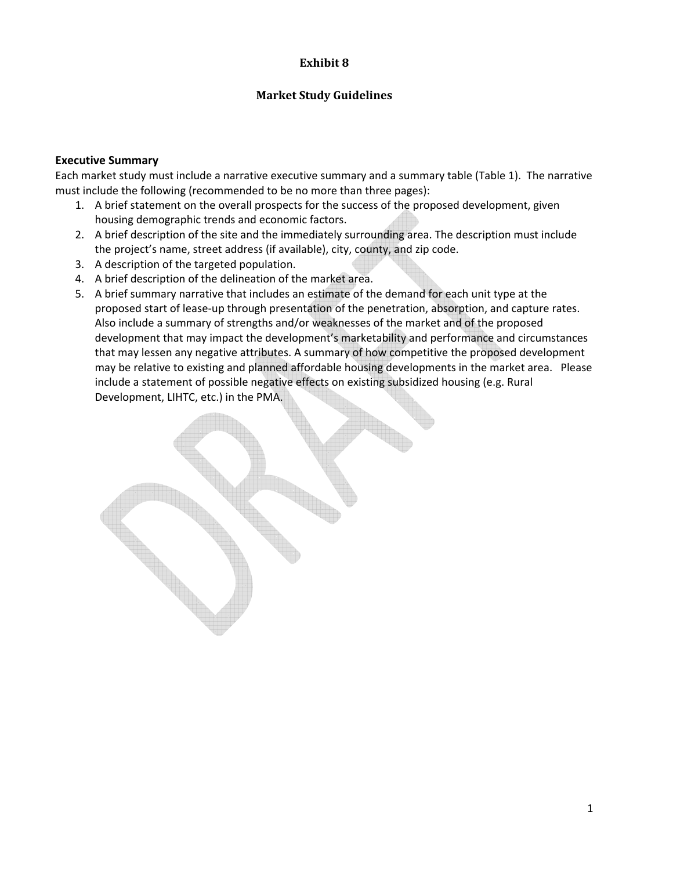#### **Exhibit 8**

#### **Market Study Guidelines**

#### **Executive Summary**

Each market study must include a narrative executive summary and a summary table (Table 1). The narrative must include the following (recommended to be no more than three pages):

- 1. A brief statement on the overall prospects for the success of the proposed development, given housing demographic trends and economic factors.
- 2. A brief description of the site and the immediately surrounding area. The description must include the project's name, street address (if available), city, county, and zip code.
- 3. A description of the targeted population.
- 4. A brief description of the delineation of the market area.
- 5. A brief summary narrative that includes an estimate of the demand for each unit type at the proposed start of lease-up through presentation of the penetration, absorption, and capture rates. Also include a summary of strengths and/or weaknesses of the market and of the proposed development that may impact the development's marketability and performance and circumstances that may lessen any negative attributes. A summary of how competitive the proposed development may be relative to existing and planned affordable housing developments in the market area. Please include a statement of possible negative effects on existing subsidized housing (e.g. Rural Development, LIHTC, etc.) in the PMA.

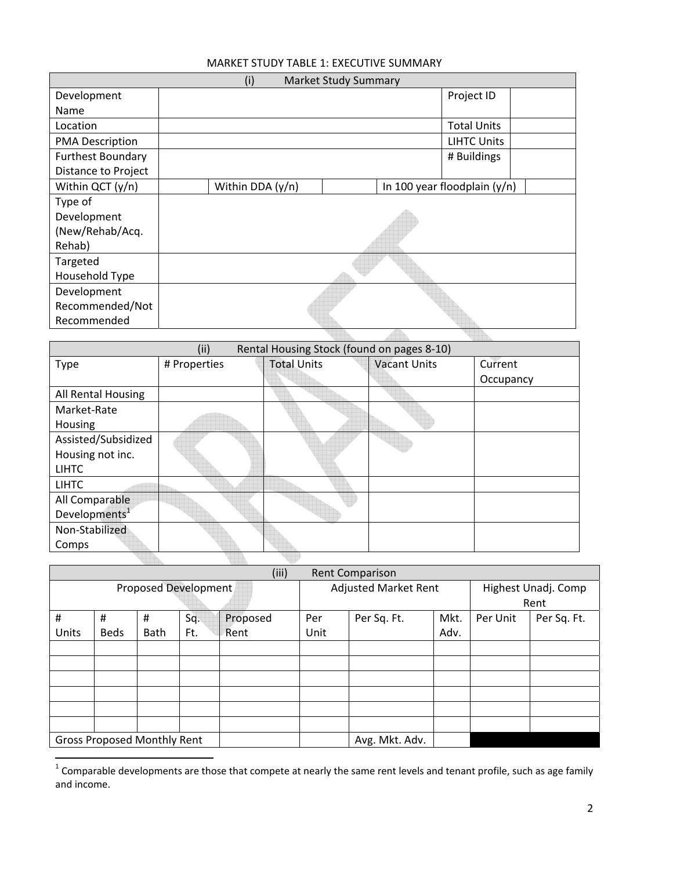### MARKET STUDY TABLE 1: EXECUTIVE SUMMARY

| (i)<br><b>Market Study Summary</b> |                  |                              |  |  |  |
|------------------------------------|------------------|------------------------------|--|--|--|
| Development                        |                  | Project ID                   |  |  |  |
| Name                               |                  |                              |  |  |  |
| Location                           |                  | <b>Total Units</b>           |  |  |  |
| <b>PMA Description</b>             |                  | <b>LIHTC Units</b>           |  |  |  |
| <b>Furthest Boundary</b>           |                  | # Buildings                  |  |  |  |
| Distance to Project                |                  |                              |  |  |  |
| Within QCT (y/n)                   | Within DDA (y/n) | In 100 year floodplain (y/n) |  |  |  |
| Type of                            |                  |                              |  |  |  |
| Development                        |                  |                              |  |  |  |
| (New/Rehab/Acq.                    |                  |                              |  |  |  |
| Rehab)                             |                  |                              |  |  |  |
| Targeted                           |                  |                              |  |  |  |
| Household Type                     |                  |                              |  |  |  |
| Development                        |                  |                              |  |  |  |
| Recommended/Not                    |                  |                              |  |  |  |
| Recommended                        |                  |                              |  |  |  |
|                                    |                  |                              |  |  |  |

|                           | (ii)<br>Rental Housing Stock (found on pages 8-10) |                    |                     |           |  |  |  |  |
|---------------------------|----------------------------------------------------|--------------------|---------------------|-----------|--|--|--|--|
| <b>Type</b>               | # Properties                                       | <b>Total Units</b> | <b>Vacant Units</b> | Current   |  |  |  |  |
|                           |                                                    |                    |                     | Occupancy |  |  |  |  |
| All Rental Housing        |                                                    |                    |                     |           |  |  |  |  |
| Market-Rate               |                                                    |                    |                     |           |  |  |  |  |
| Housing                   |                                                    |                    |                     |           |  |  |  |  |
| Assisted/Subsidized       |                                                    |                    |                     |           |  |  |  |  |
| Housing not inc.          |                                                    |                    |                     |           |  |  |  |  |
| <b>LIHTC</b>              |                                                    |                    |                     |           |  |  |  |  |
| <b>LIHTC</b>              |                                                    |                    |                     |           |  |  |  |  |
| All Comparable            |                                                    |                    |                     |           |  |  |  |  |
| Developments <sup>1</sup> |                                                    |                    |                     |           |  |  |  |  |
| Non-Stabilized            |                                                    |                    |                     |           |  |  |  |  |
| Comps                     |                                                    |                    |                     |           |  |  |  |  |
|                           |                                                    |                    |                     |           |  |  |  |  |

|                      | (iii)<br><b>Rent Comparison</b>    |             |     |                             |      |                |                     |          |             |
|----------------------|------------------------------------|-------------|-----|-----------------------------|------|----------------|---------------------|----------|-------------|
| Proposed Development |                                    |             |     | <b>Adjusted Market Rent</b> |      |                | Highest Unadj. Comp |          |             |
|                      |                                    |             |     |                             | Rent |                |                     |          |             |
| #                    | #                                  | #           | Sq. | Proposed                    | Per  | Per Sq. Ft.    | Mkt.                | Per Unit | Per Sq. Ft. |
| Units                | <b>Beds</b>                        | <b>Bath</b> | Ft. | Rent                        | Unit |                | Adv.                |          |             |
|                      |                                    |             |     |                             |      |                |                     |          |             |
|                      |                                    |             |     |                             |      |                |                     |          |             |
|                      |                                    |             |     |                             |      |                |                     |          |             |
|                      |                                    |             |     |                             |      |                |                     |          |             |
|                      |                                    |             |     |                             |      |                |                     |          |             |
|                      |                                    |             |     |                             |      |                |                     |          |             |
|                      | <b>Gross Proposed Monthly Rent</b> |             |     |                             |      | Avg. Mkt. Adv. |                     |          |             |

  $^1$  Comparable developments are those that compete at nearly the same rent levels and tenant profile, such as age family and income.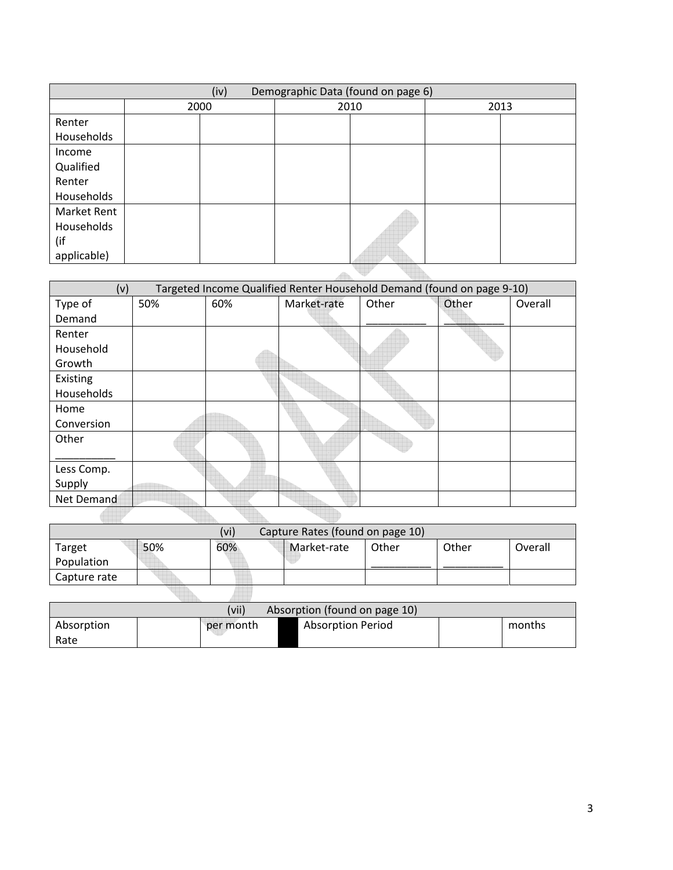|                      | Demographic Data (found on page 6)<br>(iv) |  |  |      |  |      |  |
|----------------------|--------------------------------------------|--|--|------|--|------|--|
|                      | 2000                                       |  |  | 2010 |  | 2013 |  |
| Renter<br>Households |                                            |  |  |      |  |      |  |
|                      |                                            |  |  |      |  |      |  |
| Income<br>Qualified  |                                            |  |  |      |  |      |  |
| Renter               |                                            |  |  |      |  |      |  |
| Households           |                                            |  |  |      |  |      |  |
| <b>Market Rent</b>   |                                            |  |  |      |  |      |  |
| Households           |                                            |  |  |      |  |      |  |
| (if                  |                                            |  |  |      |  |      |  |
| applicable)          |                                            |  |  |      |  |      |  |
|                      |                                            |  |  |      |  |      |  |

| (v)        |     |     | Targeted Income Qualified Renter Household Demand (found on page 9-10) |       |       |         |
|------------|-----|-----|------------------------------------------------------------------------|-------|-------|---------|
| Type of    | 50% | 60% | Market-rate                                                            | Other | Other | Overall |
| Demand     |     |     |                                                                        |       |       |         |
| Renter     |     |     |                                                                        |       |       |         |
| Household  |     |     |                                                                        |       |       |         |
| Growth     |     |     |                                                                        |       |       |         |
| Existing   |     |     |                                                                        |       |       |         |
| Households |     |     |                                                                        |       |       |         |
| Home       |     |     |                                                                        |       |       |         |
| Conversion |     |     |                                                                        |       |       |         |
| Other      |     |     |                                                                        |       |       |         |
|            |     |     |                                                                        |       |       |         |
| Less Comp. |     |     |                                                                        |       |       |         |
| Supply     |     |     |                                                                        |       |       |         |
| Net Demand |     |     |                                                                        |       |       |         |
|            |     |     |                                                                        |       |       |         |

| Capture Rates (found on page 10)<br>(vi) |     |     |             |       |       |         |
|------------------------------------------|-----|-----|-------------|-------|-------|---------|
| Target                                   | 50% | 60% | Market-rate | Other | Other | Overall |
| Population                               |     |     |             |       |       |         |
| Capture rate                             |     |     |             |       |       |         |
|                                          |     |     |             |       |       |         |

| (vii)<br>Absorption (found on page 10) |           |                          |        |  |  |  |
|----------------------------------------|-----------|--------------------------|--------|--|--|--|
| Absorption<br>Rate                     | per month | <b>Absorption Period</b> | months |  |  |  |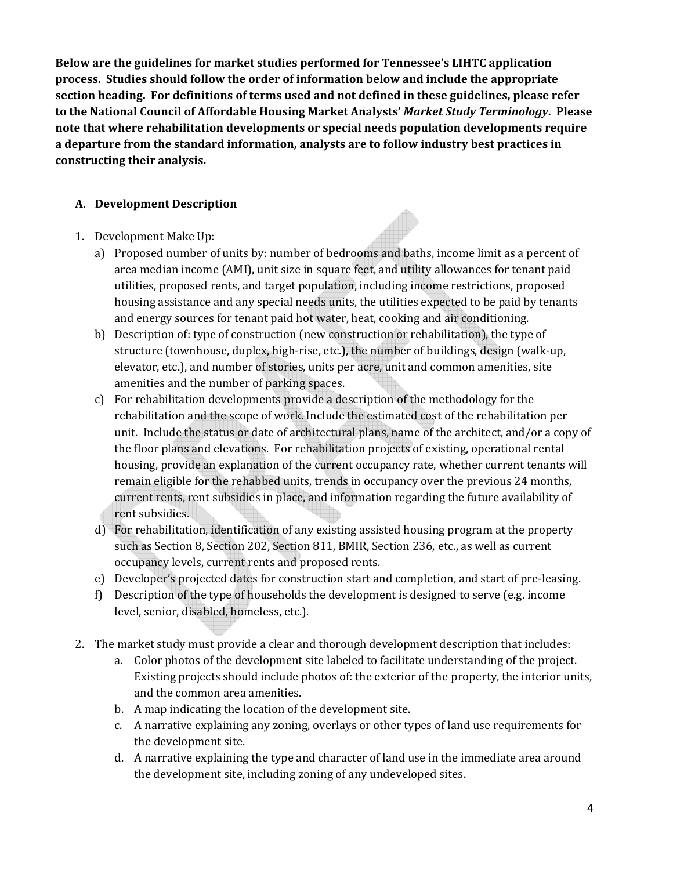**Below are the guidelines for market studies performed for Tennessee's LIHTC application process. Studies should follow the order of information below and include the appropriate section heading. For definitions of terms used and not defined in these guidelines, please refer to the National Council of Affordable Housing Market Analysts'** *Market Study Terminology***. Please note that where rehabilitation developments or special needs population developments require a departure from the standard information, analysts are to follow industry best practices in constructing their analysis.**

## **A. Development Description**

- 1. Development Make Up:
	- a) Proposed number of units by: number of bedrooms and baths, income limit as a percent of area median income (AMI), unit size in square feet, and utility allowances for tenant paid utilities, proposed rents, and target population, including income restrictions, proposed housing assistance and any special needs units, the utilities expected to be paid by tenants and energy sources for tenant paid hot water, heat, cooking and air conditioning.
	- b) Description of: type of construction (new construction or rehabilitation), the type of structure (townhouse, duplex, high‐rise, etc.), the number of buildings, design (walk‐up, elevator, etc.), and number of stories, units per acre, unit and common amenities, site amenities and the number of parking spaces.
	- c) For rehabilitation developments provide a description of the methodology for the rehabilitation and the scope of work. Include the estimated cost of the rehabilitation per unit. Include the status or date of architectural plans, name of the architect, and/or a copy of the floor plans and elevations. For rehabilitation projects of existing, operational rental housing, provide an explanation of the current occupancy rate, whether current tenants will remain eligible for the rehabbed units, trends in occupancy over the previous 24 months, current rents, rent subsidies in place, and information regarding the future availability of rent subsidies.
	- d) For rehabilitation, identification of any existing assisted housing program at the property such as Section 8, Section 202, Section 811, BMIR, Section 236, etc., as well as current occupancy levels, current rents and proposed rents.
	- e) Developer's projected dates for construction start and completion, and start of pre‐leasing.
	- f) Description of the type of households the development is designed to serve (e.g. income level, senior, disabled, homeless, etc.).
- 2. The market study must provide a clear and thorough development description that includes:
	- a. Color photos of the development site labeled to facilitate understanding of the project. Existing projects should include photos of: the exterior of the property, the interior units, and the common area amenities.
	- b. A map indicating the location of the development site.
	- c. A narrative explaining any zoning, overlays or other types of land use requirements for the development site.
	- d. A narrative explaining the type and character of land use in the immediate area around the development site, including zoning of any undeveloped sites.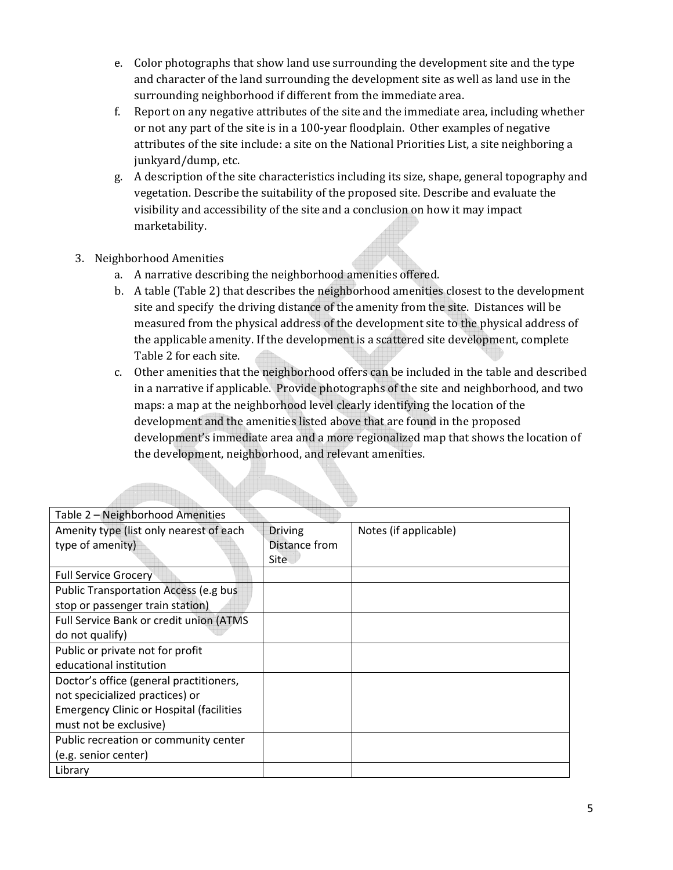- e. Color photographs that show land use surrounding the development site and the type and character of the land surrounding the development site as well as land use in the surrounding neighborhood if different from the immediate area.
- f. Report on any negative attributes of the site and the immediate area, including whether or not any part of the site is in a 100‐year floodplain. Other examples of negative attributes of the site include: a site on the National Priorities List, a site neighboring a junkyard/dump, etc.
- g. A description of the site characteristics including its size, shape, general topography and vegetation. Describe the suitability of the proposed site. Describe and evaluate the visibility and accessibility of the site and a conclusion on how it may impact marketability.
- 3. Neighborhood Amenities

<u> Hillin</u>

- a. A narrative describing the neighborhood amenities offered.
- b. A table (Table 2) that describes the neighborhood amenities closest to the development site and specify the driving distance of the amenity from the site. Distances will be measured from the physical address of the development site to the physical address of the applicable amenity. If the development is a scattered site development, complete Table 2 for each site.
- c. Other amenities that the neighborhood offers can be included in the table and described in a narrative if applicable. Provide photographs of the site and neighborhood, and two maps: a map at the neighborhood level clearly identifying the location of the development and the amenities listed above that are found in the proposed development's immediate area and a more regionalized map that shows the location of the development, neighborhood, and relevant amenities.

| Table 2 - Neighborhood Amenities                |                |                       |
|-------------------------------------------------|----------------|-----------------------|
| Amenity type (list only nearest of each         | <b>Driving</b> | Notes (if applicable) |
| type of amenity)                                | Distance from  |                       |
|                                                 | Site           |                       |
| <b>Full Service Grocery</b>                     |                |                       |
| Public Transportation Access (e.g bus           |                |                       |
| stop or passenger train station)                |                |                       |
| Full Service Bank or credit union (ATMS         |                |                       |
| do not qualify)                                 |                |                       |
| Public or private not for profit                |                |                       |
| educational institution                         |                |                       |
| Doctor's office (general practitioners,         |                |                       |
| not specicialized practices) or                 |                |                       |
| <b>Emergency Clinic or Hospital (facilities</b> |                |                       |
| must not be exclusive)                          |                |                       |
| Public recreation or community center           |                |                       |
| (e.g. senior center)                            |                |                       |
| Library                                         |                |                       |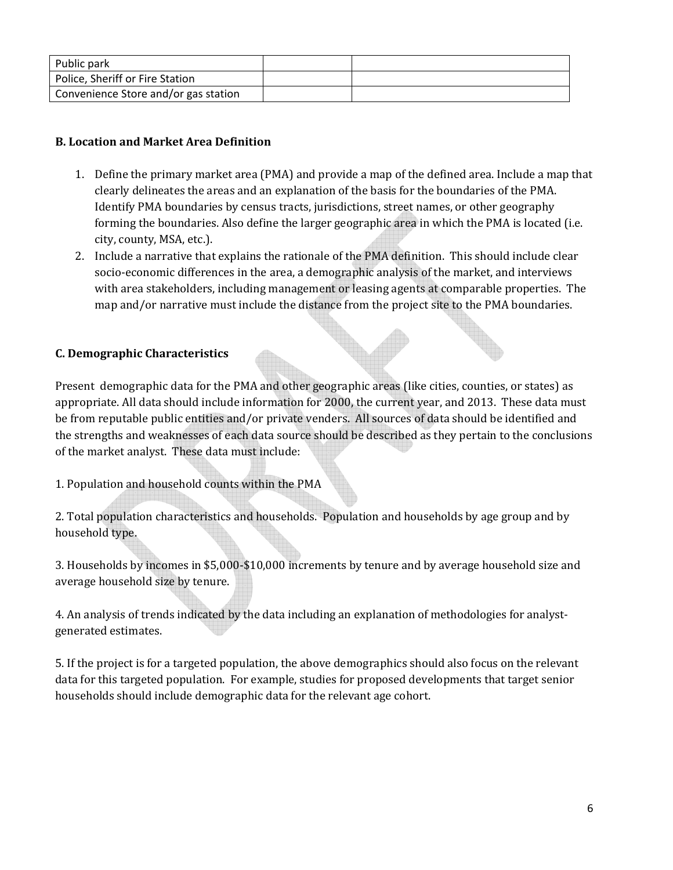| Public park                          |  |
|--------------------------------------|--|
| Police, Sheriff or Fire Station      |  |
| Convenience Store and/or gas station |  |

## **B. Location and Market Area Definition**

- 1. Define the primary market area (PMA) and provide a map of the defined area. Include a map that clearly delineates the areas and an explanation of the basis for the boundaries of the PMA. Identify PMA boundaries by census tracts, jurisdictions, street names, or other geography forming the boundaries. Also define the larger geographic area in which the PMA is located (i.e. city, county, MSA, etc.).
- 2. Include a narrative that explains the rationale of the PMA definition. This should include clear socio-economic differences in the area, a demographic analysis of the market, and interviews with area stakeholders, including management or leasing agents at comparable properties. The map and/or narrative must include the distance from the project site to the PMA boundaries.

# **C. Demographic Characteristics**

Present demographic data for the PMA and other geographic areas (like cities, counties, or states) as appropriate. All data should include information for 2000, the current year, and 2013. These data must be from reputable public entities and/or private venders. All sources of data should be identified and the strengths and weaknesses of each data source should be described as they pertain to the conclusions of the market analyst. These data must include:

1. Population and household counts within the PMA

2. Total population characteristics and households. Population and households by age group and by household type.

3. Households by incomes in \$5,000‐\$10,000 increments by tenure and by average household size and average household size by tenure.

4. An analysis of trends indicated by the data including an explanation of methodologies for analystgenerated estimates.

5. If the project is for a targeted population, the above demographics should also focus on the relevant data for this targeted population. For example, studies for proposed developments that target senior households should include demographic data for the relevant age cohort.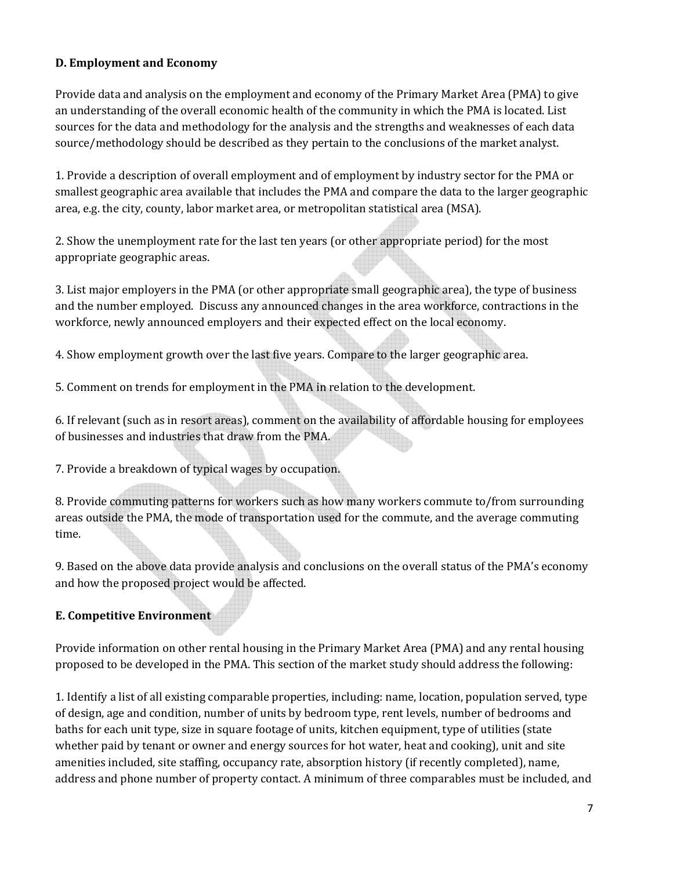### **D. Employment and Economy**

Provide data and analysis on the employment and economy of the Primary Market Area (PMA) to give an understanding of the overall economic health of the community in which the PMA is located. List sources for the data and methodology for the analysis and the strengths and weaknesses of each data source/methodology should be described as they pertain to the conclusions of the market analyst.

1. Provide a description of overall employment and of employment by industry sector for the PMA or smallest geographic area available that includes the PMA and compare the data to the larger geographic area, e.g. the city, county, labor market area, or metropolitan statistical area (MSA).

2. Show the unemployment rate for the last ten years (or other appropriate period) for the most appropriate geographic areas.

3. List major employers in the PMA (or other appropriate small geographic area), the type of business and the number employed. Discuss any announced changes in the area workforce, contractions in the workforce, newly announced employers and their expected effect on the local economy.

4. Show employment growth over the last five years. Compare to the larger geographic area.

5. Comment on trends for employment in the PMA in relation to the development.

6. If relevant (such as in resort areas), comment on the availability of affordable housing for employees of businesses and industries that draw from the PMA.

7. Provide a breakdown of typical wages by occupation.

8. Provide commuting patterns for workers such as how many workers commute to/from surrounding areas outside the PMA, the mode of transportation used for the commute, and the average commuting time.

9. Based on the above data provide analysis and conclusions on the overall status of the PMA's economy and how the proposed project would be affected.

# **E. Competitive Environment**

Provide information on other rental housing in the Primary Market Area (PMA) and any rental housing proposed to be developed in the PMA. This section of the market study should address the following:

1. Identify a list of all existing comparable properties, including: name, location, population served, type of design, age and condition, number of units by bedroom type, rent levels, number of bedrooms and baths for each unit type, size in square footage of units, kitchen equipment, type of utilities (state whether paid by tenant or owner and energy sources for hot water, heat and cooking), unit and site amenities included, site staffing, occupancy rate, absorption history (if recently completed), name, address and phone number of property contact. A minimum of three comparables must be included, and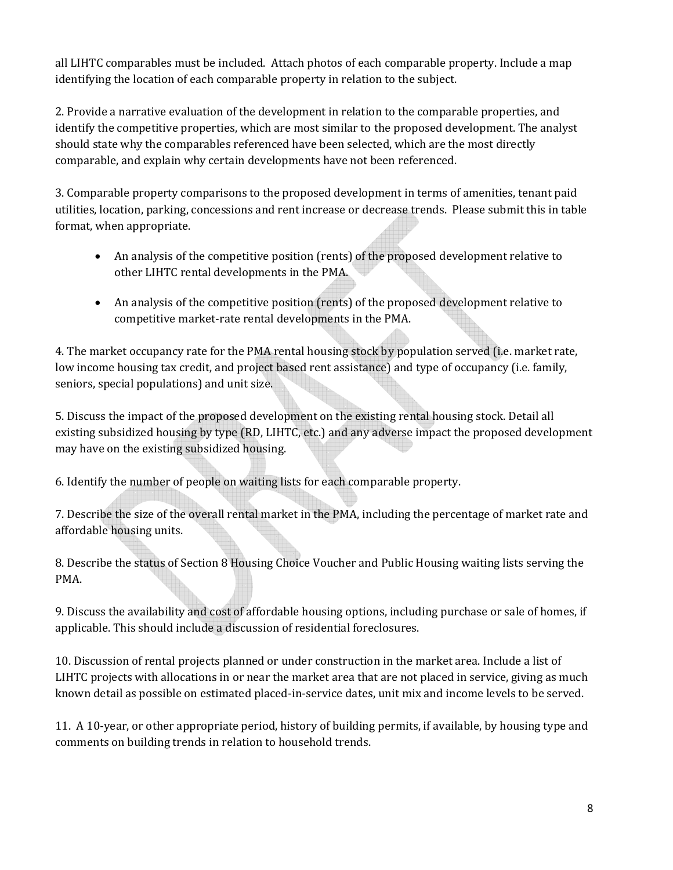all LIHTC comparables must be included. Attach photos of each comparable property. Include a map identifying the location of each comparable property in relation to the subject.

2. Provide a narrative evaluation of the development in relation to the comparable properties, and identify the competitive properties, which are most similar to the proposed development. The analyst should state why the comparables referenced have been selected, which are the most directly comparable, and explain why certain developments have not been referenced.

3. Comparable property comparisons to the proposed development in terms of amenities, tenant paid utilities, location, parking, concessions and rent increase or decrease trends. Please submit this in table format, when appropriate.

- An analysis of the competitive position (rents) of the proposed development relative to other LIHTC rental developments in the PMA.
- An analysis of the competitive position (rents) of the proposed development relative to competitive market‐rate rental developments in the PMA.

4. The market occupancy rate for the PMA rental housing stock by population served (i.e. market rate, low income housing tax credit, and project based rent assistance) and type of occupancy (i.e. family, seniors, special populations) and unit size.

5. Discuss the impact of the proposed development on the existing rental housing stock. Detail all existing subsidized housing by type (RD, LIHTC, etc.) and any adverse impact the proposed development may have on the existing subsidized housing.

6. Identify the number of people on waiting lists for each comparable property.

7. Describe the size of the overall rental market in the PMA, including the percentage of market rate and affordable housing units.

8. Describe the status of Section 8 Housing Choice Voucher and Public Housing waiting lists serving the PMA.

9. Discuss the availability and cost of affordable housing options, including purchase or sale of homes, if applicable. This should include a discussion of residential foreclosures.

10. Discussion of rental projects planned or under construction in the market area. Include a list of LIHTC projects with allocations in or near the market area that are not placed in service, giving as much known detail as possible on estimated placed‐in‐service dates, unit mix and income levels to be served.

11. A 10‐year, or other appropriate period, history of building permits, if available, by housing type and comments on building trends in relation to household trends.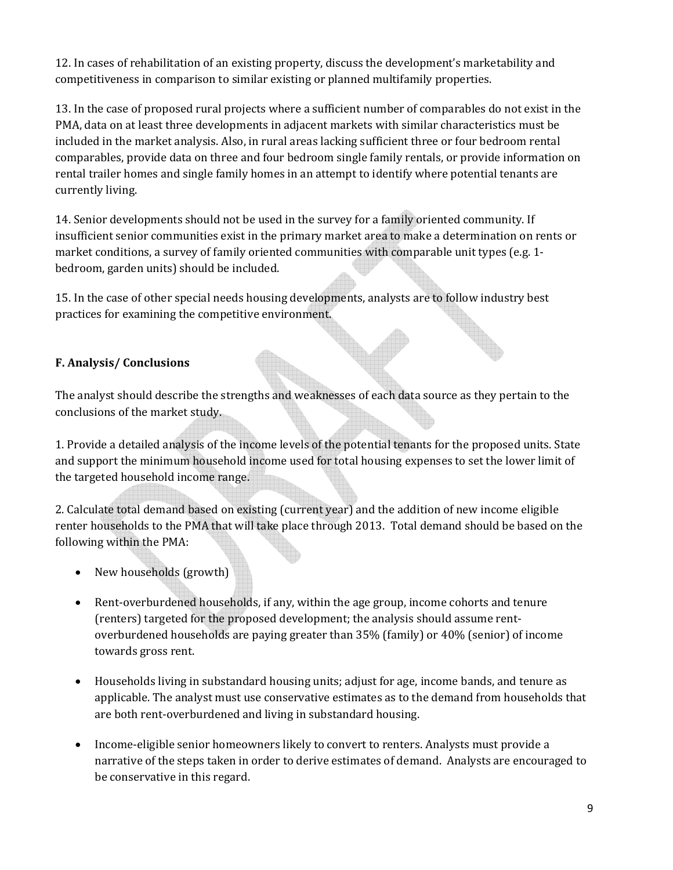12. In cases of rehabilitation of an existing property, discuss the development's marketability and competitiveness in comparison to similar existing or planned multifamily properties.

13. In the case of proposed rural projects where a sufficient number of comparables do not exist in the PMA, data on at least three developments in adjacent markets with similar characteristics must be included in the market analysis. Also, in rural areas lacking sufficient three or four bedroom rental comparables, provide data on three and four bedroom single family rentals, or provide information on rental trailer homes and single family homes in an attempt to identify where potential tenants are currently living.

14. Senior developments should not be used in the survey for a family oriented community. If insufficient senior communities exist in the primary market area to make a determination on rents or market conditions, a survey of family oriented communities with comparable unit types (e.g. 1bedroom, garden units) should be included.

15. In the case of other special needs housing developments, analysts are to follow industry best practices for examining the competitive environment.

## **F. Analysis/ Conclusions**

The analyst should describe the strengths and weaknesses of each data source as they pertain to the conclusions of the market study.

1. Provide a detailed analysis of the income levels of the potential tenants for the proposed units. State and support the minimum household income used for total housing expenses to set the lower limit of the targeted household income range.

2. Calculate total demand based on existing (current year) and the addition of new income eligible renter households to the PMA that will take place through 2013. Total demand should be based on the following within the PMA:

- New households (growth)
- Rent-overburdened households, if any, within the age group, income cohorts and tenure (renters) targeted for the proposed development; the analysis should assume rent‐ overburdened households are paying greater than 35% (family) or 40% (senior) of income towards gross rent.
- Households living in substandard housing units; adjust for age, income bands, and tenure as applicable. The analyst must use conservative estimates as to the demand from households that are both rent‐overburdened and living in substandard housing.
- Income-eligible senior homeowners likely to convert to renters. Analysts must provide a narrative of the steps taken in order to derive estimates of demand. Analysts are encouraged to be conservative in this regard.